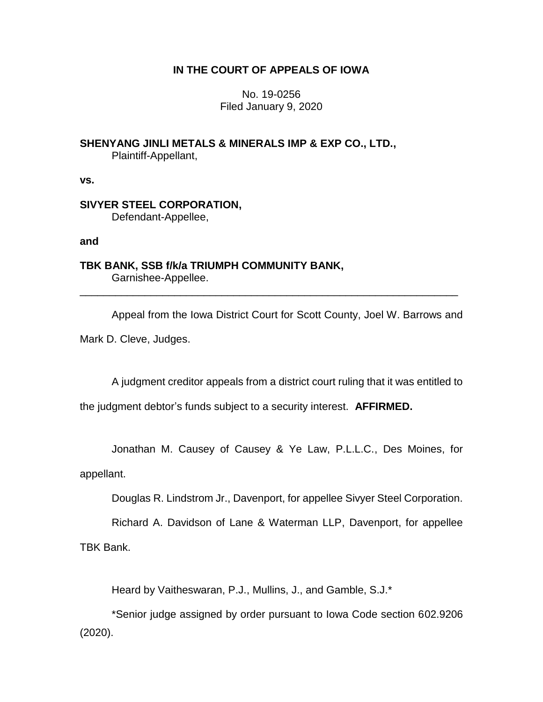# **IN THE COURT OF APPEALS OF IOWA**

No. 19-0256 Filed January 9, 2020

**SHENYANG JINLI METALS & MINERALS IMP & EXP CO., LTD.,** Plaintiff-Appellant,

**vs.**

**SIVYER STEEL CORPORATION,** Defendant-Appellee,

**and**

**TBK BANK, SSB f/k/a TRIUMPH COMMUNITY BANK,** Garnishee-Appellee.

Appeal from the Iowa District Court for Scott County, Joel W. Barrows and Mark D. Cleve, Judges.

\_\_\_\_\_\_\_\_\_\_\_\_\_\_\_\_\_\_\_\_\_\_\_\_\_\_\_\_\_\_\_\_\_\_\_\_\_\_\_\_\_\_\_\_\_\_\_\_\_\_\_\_\_\_\_\_\_\_\_\_\_\_\_\_

A judgment creditor appeals from a district court ruling that it was entitled to

the judgment debtor's funds subject to a security interest. **AFFIRMED.**

Jonathan M. Causey of Causey & Ye Law, P.L.L.C., Des Moines, for

appellant.

Douglas R. Lindstrom Jr., Davenport, for appellee Sivyer Steel Corporation.

Richard A. Davidson of Lane & Waterman LLP, Davenport, for appellee TBK Bank.

Heard by Vaitheswaran, P.J., Mullins, J., and Gamble, S.J.\*

\*Senior judge assigned by order pursuant to Iowa Code section 602.9206 (2020).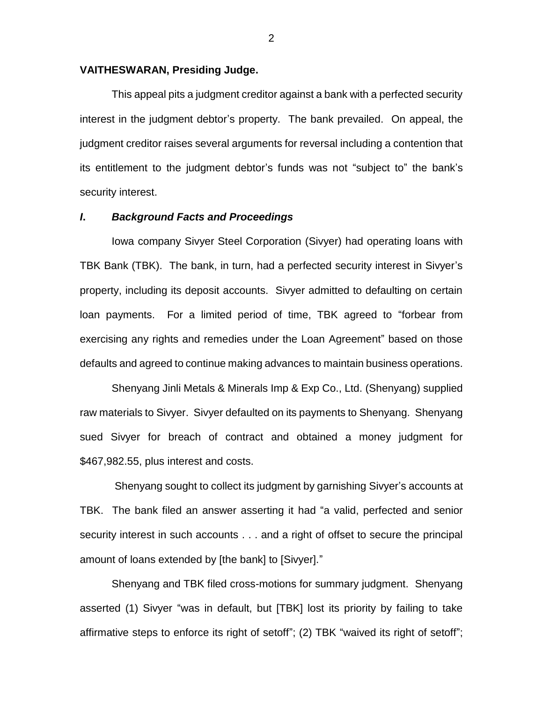#### **VAITHESWARAN, Presiding Judge.**

This appeal pits a judgment creditor against a bank with a perfected security interest in the judgment debtor's property. The bank prevailed. On appeal, the judgment creditor raises several arguments for reversal including a contention that its entitlement to the judgment debtor's funds was not "subject to" the bank's security interest.

## *I***.** *Background Facts and Proceedings*

Iowa company Sivyer Steel Corporation (Sivyer) had operating loans with TBK Bank (TBK). The bank, in turn, had a perfected security interest in Sivyer's property, including its deposit accounts. Sivyer admitted to defaulting on certain loan payments. For a limited period of time, TBK agreed to "forbear from exercising any rights and remedies under the Loan Agreement" based on those defaults and agreed to continue making advances to maintain business operations.

Shenyang Jinli Metals & Minerals Imp & Exp Co., Ltd. (Shenyang) supplied raw materials to Sivyer. Sivyer defaulted on its payments to Shenyang. Shenyang sued Sivyer for breach of contract and obtained a money judgment for \$467,982.55, plus interest and costs.

Shenyang sought to collect its judgment by garnishing Sivyer's accounts at TBK. The bank filed an answer asserting it had "a valid, perfected and senior security interest in such accounts . . . and a right of offset to secure the principal amount of loans extended by [the bank] to [Sivyer]."

Shenyang and TBK filed cross-motions for summary judgment. Shenyang asserted (1) Sivyer "was in default, but [TBK] lost its priority by failing to take affirmative steps to enforce its right of setoff"; (2) TBK "waived its right of setoff";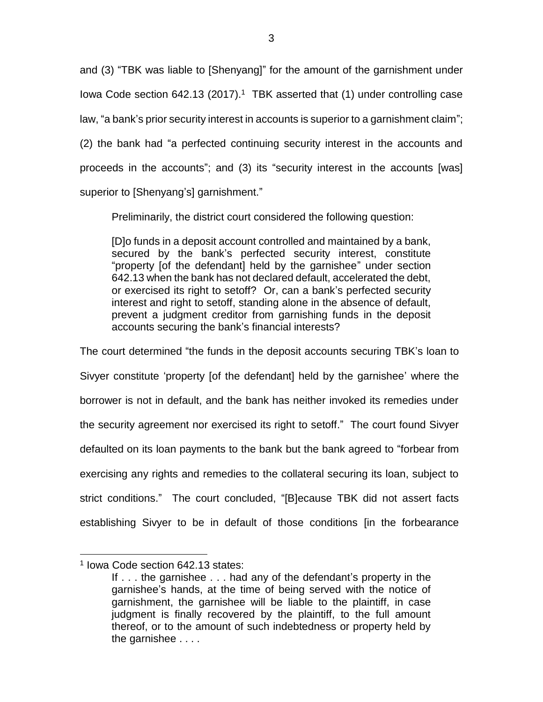and (3) "TBK was liable to [Shenyang]" for the amount of the garnishment under lowa Code section 642.13 (2017).<sup>1</sup> TBK asserted that (1) under controlling case law, "a bank's prior security interest in accounts is superior to a garnishment claim"; (2) the bank had "a perfected continuing security interest in the accounts and proceeds in the accounts"; and (3) its "security interest in the accounts [was] superior to [Shenyang's] garnishment."

Preliminarily, the district court considered the following question:

[D]o funds in a deposit account controlled and maintained by a bank, secured by the bank's perfected security interest, constitute "property [of the defendant] held by the garnishee" under section 642.13 when the bank has not declared default, accelerated the debt, or exercised its right to setoff? Or, can a bank's perfected security interest and right to setoff, standing alone in the absence of default, prevent a judgment creditor from garnishing funds in the deposit accounts securing the bank's financial interests?

The court determined "the funds in the deposit accounts securing TBK's loan to Sivyer constitute 'property [of the defendant] held by the garnishee' where the borrower is not in default, and the bank has neither invoked its remedies under the security agreement nor exercised its right to setoff." The court found Sivyer defaulted on its loan payments to the bank but the bank agreed to "forbear from exercising any rights and remedies to the collateral securing its loan, subject to strict conditions." The court concluded, "[B]ecause TBK did not assert facts establishing Sivyer to be in default of those conditions [in the forbearance

 $\overline{a}$ 

<sup>1</sup> Iowa Code section 642.13 states:

If . . . the garnishee . . . had any of the defendant's property in the garnishee's hands, at the time of being served with the notice of garnishment, the garnishee will be liable to the plaintiff, in case judgment is finally recovered by the plaintiff, to the full amount thereof, or to the amount of such indebtedness or property held by the garnishee . . . .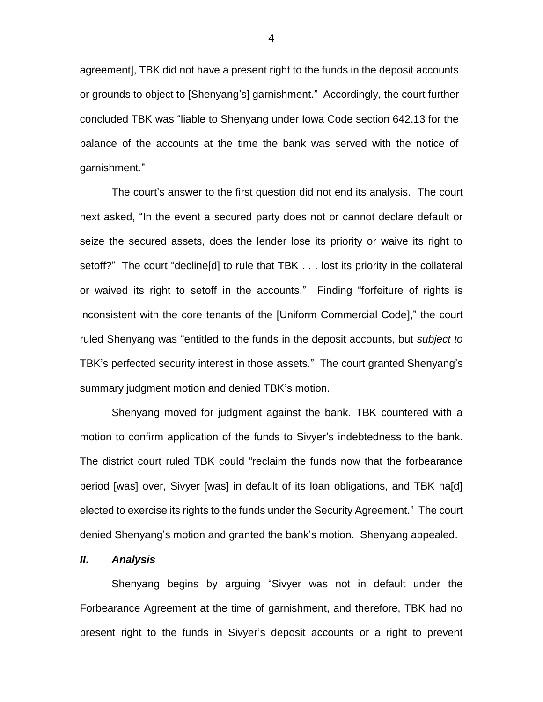agreement], TBK did not have a present right to the funds in the deposit accounts or grounds to object to [Shenyang's] garnishment." Accordingly, the court further concluded TBK was "liable to Shenyang under Iowa Code section 642.13 for the balance of the accounts at the time the bank was served with the notice of garnishment."

The court's answer to the first question did not end its analysis. The court next asked, "In the event a secured party does not or cannot declare default or seize the secured assets, does the lender lose its priority or waive its right to setoff?" The court "decline[d] to rule that TBK . . . lost its priority in the collateral or waived its right to setoff in the accounts." Finding "forfeiture of rights is inconsistent with the core tenants of the [Uniform Commercial Code]," the court ruled Shenyang was "entitled to the funds in the deposit accounts, but *subject to* TBK's perfected security interest in those assets." The court granted Shenyang's summary judgment motion and denied TBK's motion.

Shenyang moved for judgment against the bank. TBK countered with a motion to confirm application of the funds to Sivyer's indebtedness to the bank. The district court ruled TBK could "reclaim the funds now that the forbearance period [was] over, Sivyer [was] in default of its loan obligations, and TBK ha[d] elected to exercise its rights to the funds under the Security Agreement." The court denied Shenyang's motion and granted the bank's motion. Shenyang appealed.

### *II***.** *Analysis*

Shenyang begins by arguing "Sivyer was not in default under the Forbearance Agreement at the time of garnishment, and therefore, TBK had no present right to the funds in Sivyer's deposit accounts or a right to prevent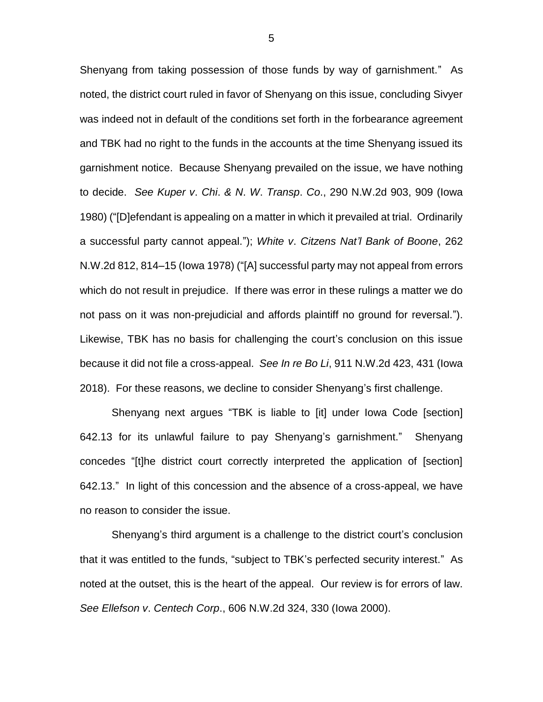Shenyang from taking possession of those funds by way of garnishment." As noted, the district court ruled in favor of Shenyang on this issue, concluding Sivyer was indeed not in default of the conditions set forth in the forbearance agreement and TBK had no right to the funds in the accounts at the time Shenyang issued its garnishment notice. Because Shenyang prevailed on the issue, we have nothing to decide. *See Kuper v*. *Chi*. *& N*. *W*. *Transp*. *Co*., 290 N.W.2d 903, 909 (Iowa 1980) ("[D]efendant is appealing on a matter in which it prevailed at trial. Ordinarily a successful party cannot appeal."); *White v*. *Citzens Nat'l Bank of Boone*, 262 N.W.2d 812, 814–15 (Iowa 1978) ("[A] successful party may not appeal from errors which do not result in prejudice. If there was error in these rulings a matter we do not pass on it was non-prejudicial and affords plaintiff no ground for reversal."). Likewise, TBK has no basis for challenging the court's conclusion on this issue because it did not file a cross-appeal. *See In re Bo Li*, 911 N.W.2d 423, 431 (Iowa 2018). For these reasons, we decline to consider Shenyang's first challenge.

Shenyang next argues "TBK is liable to [it] under Iowa Code [section] 642.13 for its unlawful failure to pay Shenyang's garnishment." Shenyang concedes "[t]he district court correctly interpreted the application of [section] 642.13." In light of this concession and the absence of a cross-appeal, we have no reason to consider the issue.

Shenyang's third argument is a challenge to the district court's conclusion that it was entitled to the funds, "subject to TBK's perfected security interest." As noted at the outset, this is the heart of the appeal. Our review is for errors of law. *See Ellefson v*. *Centech Corp*., 606 N.W.2d 324, 330 (Iowa 2000).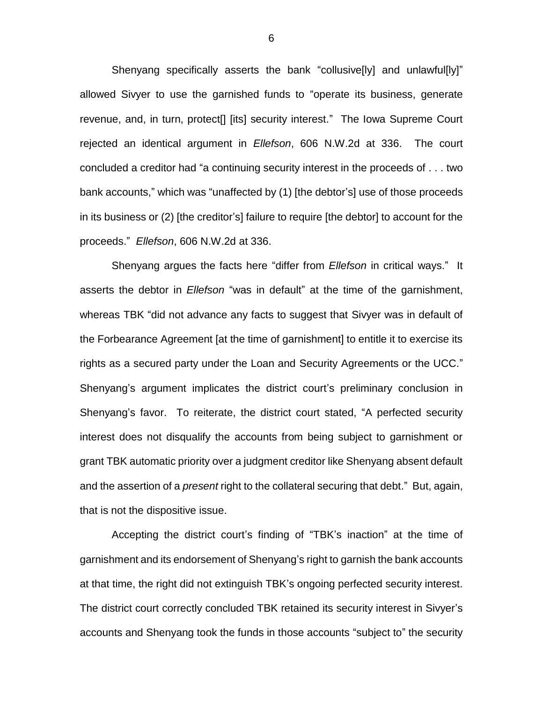Shenyang specifically asserts the bank "collusive[ly] and unlawful[ly]" allowed Sivyer to use the garnished funds to "operate its business, generate revenue, and, in turn, protect[] [its] security interest." The Iowa Supreme Court rejected an identical argument in *Ellefson*, 606 N.W.2d at 336. The court concluded a creditor had "a continuing security interest in the proceeds of . . . two bank accounts," which was "unaffected by (1) [the debtor's] use of those proceeds in its business or (2) [the creditor's] failure to require [the debtor] to account for the proceeds." *Ellefson*, 606 N.W.2d at 336.

Shenyang argues the facts here "differ from *Ellefson* in critical ways." It asserts the debtor in *Ellefson* "was in default" at the time of the garnishment, whereas TBK "did not advance any facts to suggest that Sivyer was in default of the Forbearance Agreement [at the time of garnishment] to entitle it to exercise its rights as a secured party under the Loan and Security Agreements or the UCC." Shenyang's argument implicates the district court's preliminary conclusion in Shenyang's favor. To reiterate, the district court stated, "A perfected security interest does not disqualify the accounts from being subject to garnishment or grant TBK automatic priority over a judgment creditor like Shenyang absent default and the assertion of a *present* right to the collateral securing that debt." But, again, that is not the dispositive issue.

Accepting the district court's finding of "TBK's inaction" at the time of garnishment and its endorsement of Shenyang's right to garnish the bank accounts at that time, the right did not extinguish TBK's ongoing perfected security interest. The district court correctly concluded TBK retained its security interest in Sivyer's accounts and Shenyang took the funds in those accounts "subject to" the security

6